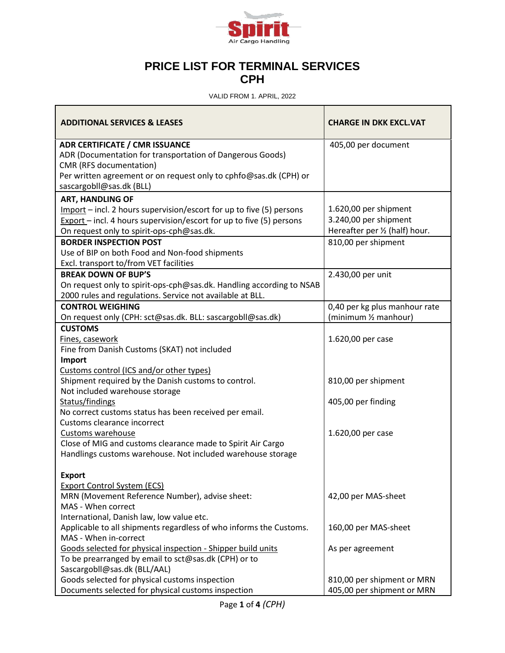

## **PRICE LIST FOR TERMINAL SERVICES CPH**

VALID FROM 1. APRIL, 2022

| <b>ADDITIONAL SERVICES &amp; LEASES</b>                                                                                                                                                                                        | <b>CHARGE IN DKK EXCL.VAT</b>                                                    |
|--------------------------------------------------------------------------------------------------------------------------------------------------------------------------------------------------------------------------------|----------------------------------------------------------------------------------|
| <b>ADR CERTIFICATE / CMR ISSUANCE</b><br>ADR (Documentation for transportation of Dangerous Goods)<br>CMR (RFS documentation)<br>Per written agreement or on request only to cphfo@sas.dk (CPH) or<br>sascargobll@sas.dk (BLL) | 405,00 per document                                                              |
| <b>ART, HANDLING OF</b><br>$Import$ – incl. 2 hours supervision/escort for up to five (5) persons<br>Export – incl. 4 hours supervision/escort for up to five (5) persons<br>On request only to spirit-ops-cph@sas.dk.         | 1.620,00 per shipment<br>3.240,00 per shipment<br>Hereafter per 1/2 (half) hour. |
| <b>BORDER INSPECTION POST</b><br>Use of BIP on both Food and Non-food shipments<br>Excl. transport to/from VET facilities                                                                                                      | 810,00 per shipment                                                              |
| <b>BREAK DOWN OF BUP'S</b><br>On request only to spirit-ops-cph@sas.dk. Handling according to NSAB<br>2000 rules and regulations. Service not available at BLL.                                                                | 2.430,00 per unit                                                                |
| <b>CONTROL WEIGHING</b><br>On request only (CPH: sct@sas.dk. BLL: sascargobll@sas.dk)                                                                                                                                          | 0,40 per kg plus manhour rate<br>(minimum 1/2 manhour)                           |
| <b>CUSTOMS</b><br>Fines, casework<br>Fine from Danish Customs (SKAT) not included<br>Import                                                                                                                                    | 1.620,00 per case                                                                |
| Customs control (ICS and/or other types)<br>Shipment required by the Danish customs to control.<br>Not included warehouse storage                                                                                              | 810,00 per shipment                                                              |
| Status/findings<br>No correct customs status has been received per email.<br>Customs clearance incorrect                                                                                                                       | 405,00 per finding                                                               |
| Customs warehouse<br>Close of MIG and customs clearance made to Spirit Air Cargo<br>Handlings customs warehouse. Not included warehouse storage                                                                                | 1.620,00 per case                                                                |
| <b>Export</b><br><b>Export Control System (ECS)</b><br>MRN (Movement Reference Number), advise sheet:<br>MAS - When correct                                                                                                    | 42,00 per MAS-sheet                                                              |
| International, Danish law, low value etc.<br>Applicable to all shipments regardless of who informs the Customs.<br>MAS - When in-correct                                                                                       | 160,00 per MAS-sheet                                                             |
| Goods selected for physical inspection - Shipper build units<br>To be prearranged by email to sct@sas.dk (CPH) or to<br>Sascargobll@sas.dk (BLL/AAL)                                                                           | As per agreement                                                                 |
| Goods selected for physical customs inspection<br>Documents selected for physical customs inspection                                                                                                                           | 810,00 per shipment or MRN<br>405,00 per shipment or MRN                         |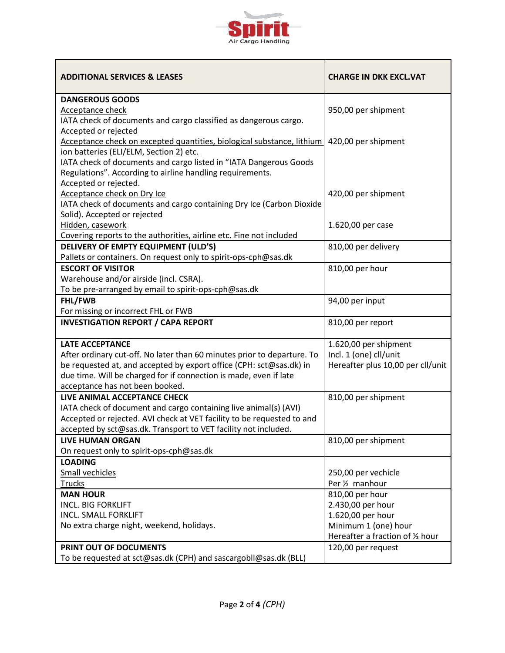

| <b>ADDITIONAL SERVICES &amp; LEASES</b>                                 | <b>CHARGE IN DKK EXCL.VAT</b>     |
|-------------------------------------------------------------------------|-----------------------------------|
| <b>DANGEROUS GOODS</b>                                                  |                                   |
| <b>Acceptance check</b>                                                 | 950,00 per shipment               |
| IATA check of documents and cargo classified as dangerous cargo.        |                                   |
| Accepted or rejected                                                    |                                   |
| Acceptance check on excepted quantities, biological substance, lithium  | 420,00 per shipment               |
| ion batteries (ELI/ELM, Section 2) etc.                                 |                                   |
| IATA check of documents and cargo listed in "IATA Dangerous Goods       |                                   |
| Regulations". According to airline handling requirements.               |                                   |
| Accepted or rejected.                                                   |                                   |
| Acceptance check on Dry Ice                                             | 420,00 per shipment               |
| IATA check of documents and cargo containing Dry Ice (Carbon Dioxide    |                                   |
| Solid). Accepted or rejected                                            |                                   |
| Hidden, casework                                                        | 1.620,00 per case                 |
| Covering reports to the authorities, airline etc. Fine not included     |                                   |
| <b>DELIVERY OF EMPTY EQUIPMENT (ULD'S)</b>                              | 810,00 per delivery               |
| Pallets or containers. On request only to spirit-ops-cph@sas.dk         |                                   |
| <b>ESCORT OF VISITOR</b>                                                | 810,00 per hour                   |
| Warehouse and/or airside (incl. CSRA).                                  |                                   |
| To be pre-arranged by email to spirit-ops-cph@sas.dk                    |                                   |
| FHL/FWB                                                                 | 94,00 per input                   |
| For missing or incorrect FHL or FWB                                     |                                   |
| <b>INVESTIGATION REPORT / CAPA REPORT</b>                               | 810,00 per report                 |
| <b>LATE ACCEPTANCE</b>                                                  | 1.620,00 per shipment             |
| After ordinary cut-off. No later than 60 minutes prior to departure. To | Incl. 1 (one) cll/unit            |
| be requested at, and accepted by export office (CPH: sct@sas.dk) in     | Hereafter plus 10,00 per cll/unit |
| due time. Will be charged for if connection is made, even if late       |                                   |
| acceptance has not been booked.                                         |                                   |
| LIVE ANIMAL ACCEPTANCE CHECK                                            | 810,00 per shipment               |
| IATA check of document and cargo containing live animal(s) (AVI)        |                                   |
| Accepted or rejected. AVI check at VET facility to be requested to and  |                                   |
| accepted by sct@sas.dk. Transport to VET facility not included.         |                                   |
| <b>LIVE HUMAN ORGAN</b>                                                 | 810,00 per shipment               |
| On request only to spirit-ops-cph@sas.dk                                |                                   |
| <b>LOADING</b>                                                          |                                   |
| <b>Small vechicles</b>                                                  | 250,00 per vechicle               |
| <b>Trucks</b>                                                           | Per 1/ <sub>2</sub> manhour       |
| <b>MAN HOUR</b>                                                         | 810,00 per hour                   |
| <b>INCL. BIG FORKLIFT</b>                                               | 2.430,00 per hour                 |
| <b>INCL. SMALL FORKLIFT</b>                                             | 1.620,00 per hour                 |
| No extra charge night, weekend, holidays.                               | Minimum 1 (one) hour              |
|                                                                         | Hereafter a fraction of 1/2 hour  |
| PRINT OUT OF DOCUMENTS                                                  | 120,00 per request                |
| To be requested at sct@sas.dk (CPH) and sascargobll@sas.dk (BLL)        |                                   |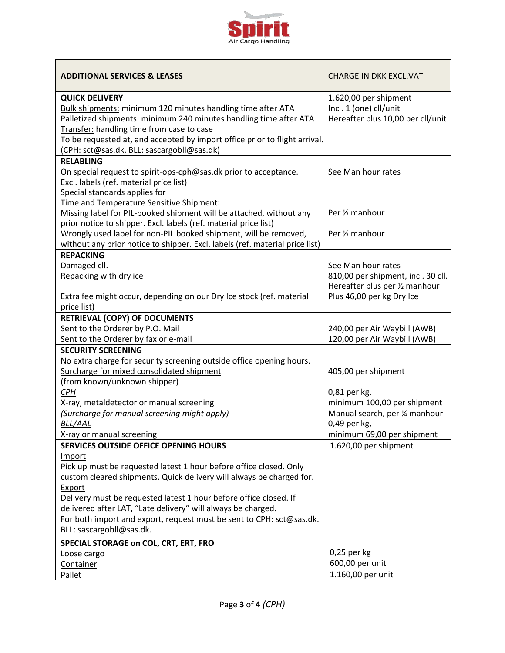

| <b>ADDITIONAL SERVICES &amp; LEASES</b>                                                                                                                                                                                                                                                                                            | <b>CHARGE IN DKK EXCL.VAT</b>                                                                                           |
|------------------------------------------------------------------------------------------------------------------------------------------------------------------------------------------------------------------------------------------------------------------------------------------------------------------------------------|-------------------------------------------------------------------------------------------------------------------------|
| <b>QUICK DELIVERY</b><br>Bulk shipments: minimum 120 minutes handling time after ATA<br>Palletized shipments: minimum 240 minutes handling time after ATA<br>Transfer: handling time from case to case<br>To be requested at, and accepted by import office prior to flight arrival.<br>(CPH: sct@sas.dk. BLL: sascargobll@sas.dk) | 1.620,00 per shipment<br>Incl. 1 (one) cll/unit<br>Hereafter plus 10,00 per cll/unit                                    |
| <b>RELABLING</b><br>On special request to spirit-ops-cph@sas.dk prior to acceptance.<br>Excl. labels (ref. material price list)<br>Special standards applies for<br>Time and Temperature Sensitive Shipment:                                                                                                                       | See Man hour rates                                                                                                      |
| Missing label for PIL-booked shipment will be attached, without any<br>prior notice to shipper. Excl. labels (ref. material price list)<br>Wrongly used label for non-PIL booked shipment, will be removed,                                                                                                                        | Per 1/ <sub>2</sub> manhour<br>Per 1/ <sub>2</sub> manhour                                                              |
| without any prior notice to shipper. Excl. labels (ref. material price list)                                                                                                                                                                                                                                                       |                                                                                                                         |
| <b>REPACKING</b><br>Damaged cll.<br>Repacking with dry ice<br>Extra fee might occur, depending on our Dry Ice stock (ref. material                                                                                                                                                                                                 | See Man hour rates<br>810,00 per shipment, incl. 30 cll.<br>Hereafter plus per 1/2 manhour<br>Plus 46,00 per kg Dry Ice |
| price list)                                                                                                                                                                                                                                                                                                                        |                                                                                                                         |
| <b>RETRIEVAL (COPY) OF DOCUMENTS</b>                                                                                                                                                                                                                                                                                               |                                                                                                                         |
| Sent to the Orderer by P.O. Mail<br>Sent to the Orderer by fax or e-mail                                                                                                                                                                                                                                                           | 240,00 per Air Waybill (AWB)<br>120,00 per Air Waybill (AWB)                                                            |
| <b>SECURITY SCREENING</b>                                                                                                                                                                                                                                                                                                          |                                                                                                                         |
| No extra charge for security screening outside office opening hours.<br>Surcharge for mixed consolidated shipment<br>(from known/unknown shipper)                                                                                                                                                                                  | 405,00 per shipment                                                                                                     |
| <b>CPH</b>                                                                                                                                                                                                                                                                                                                         | 0,81 per kg,                                                                                                            |
| X-ray, metaldetector or manual screening<br>(Surcharge for manual screening might apply)<br><b>BLL/AAL</b><br>X-ray or manual screening                                                                                                                                                                                            | minimum 100,00 per shipment<br>Manual search, per 1/4 manhour<br>0,49 per kg,<br>minimum 69,00 per shipment             |
| <b>SERVICES OUTSIDE OFFICE OPENING HOURS</b>                                                                                                                                                                                                                                                                                       | 1.620,00 per shipment                                                                                                   |
| Import<br>Pick up must be requested latest 1 hour before office closed. Only<br>custom cleared shipments. Quick delivery will always be charged for.                                                                                                                                                                               |                                                                                                                         |
| Export<br>Delivery must be requested latest 1 hour before office closed. If<br>delivered after LAT, "Late delivery" will always be charged.<br>For both import and export, request must be sent to CPH: sct@sas.dk.<br>BLL: sascargobll@sas.dk.                                                                                    |                                                                                                                         |
|                                                                                                                                                                                                                                                                                                                                    |                                                                                                                         |
| SPECIAL STORAGE on COL, CRT, ERT, FRO                                                                                                                                                                                                                                                                                              | 0,25 per kg                                                                                                             |
| Loose cargo<br>Container                                                                                                                                                                                                                                                                                                           | 600,00 per unit                                                                                                         |
| Pallet                                                                                                                                                                                                                                                                                                                             | 1.160,00 per unit                                                                                                       |